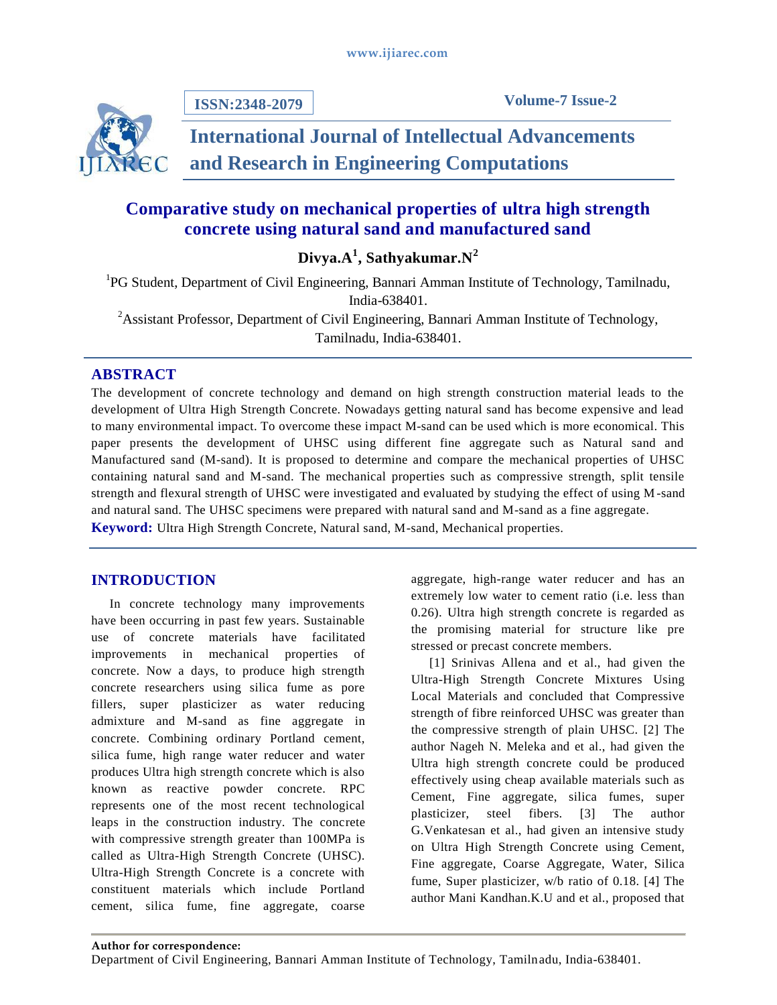**ISSN:2348-2079**

**Volume-7 Issue-2**

# **International Journal of Intellectual Advancements and Research in Engineering Computations**

## **Comparative study on mechanical properties of ultra high strength concrete using natural sand and manufactured sand**

**Divya.A<sup>1</sup> , Sathyakumar.N<sup>2</sup>**

<sup>1</sup>PG Student, Department of Civil Engineering, Bannari Amman Institute of Technology, Tamilnadu, India-638401. <sup>2</sup> Assistant Professor, Department of Civil Engineering, Bannari Amman Institute of Technology,

Tamilnadu, India-638401.

### **ABSTRACT**

The development of concrete technology and demand on high strength construction material leads to the development of Ultra High Strength Concrete. Nowadays getting natural sand has become expensive and lead to many environmental impact. To overcome these impact M-sand can be used which is more economical. This paper presents the development of UHSC using different fine aggregate such as Natural sand and Manufactured sand (M-sand). It is proposed to determine and compare the mechanical properties of UHSC containing natural sand and M-sand. The mechanical properties such as compressive strength, split tensile strength and flexural strength of UHSC were investigated and evaluated by studying the effect of using M-sand and natural sand. The UHSC specimens were prepared with natural sand and M-sand as a fine aggregate. **Keyword:** Ultra High Strength Concrete, Natural sand, M-sand, Mechanical properties.

### **INTRODUCTION**

In concrete technology many improvements have been occurring in past few years. Sustainable use of concrete materials have facilitated improvements in mechanical properties of concrete. Now a days, to produce high strength concrete researchers using silica fume as pore fillers, super plasticizer as water reducing admixture and M-sand as fine aggregate in concrete. Combining ordinary Portland cement, silica fume, high range water reducer and water produces Ultra high strength concrete which is also known as reactive powder concrete. RPC represents one of the most recent technological leaps in the construction industry. The concrete with compressive strength greater than 100MPa is called as Ultra-High Strength Concrete (UHSC). Ultra-High Strength Concrete is a concrete with constituent materials which include Portland cement, silica fume, fine aggregate, coarse

aggregate, high-range water reducer and has an extremely low water to cement ratio (i.e. less than 0.26). Ultra high strength concrete is regarded as the promising material for structure like pre stressed or precast concrete members.

[1] Srinivas Allena and et al., had given the Ultra-High Strength Concrete Mixtures Using Local Materials and concluded that Compressive strength of fibre reinforced UHSC was greater than the compressive strength of plain UHSC. [2] The author Nageh N. Meleka and et al., had given the Ultra high strength concrete could be produced effectively using cheap available materials such as Cement, Fine aggregate, silica fumes, super plasticizer, steel fibers. [3] The author G.Venkatesan et al., had given an intensive study on Ultra High Strength Concrete using Cement, Fine aggregate, Coarse Aggregate, Water, Silica fume, Super plasticizer, w/b ratio of 0.18. [4] The author Mani Kandhan.K.U and et al., proposed that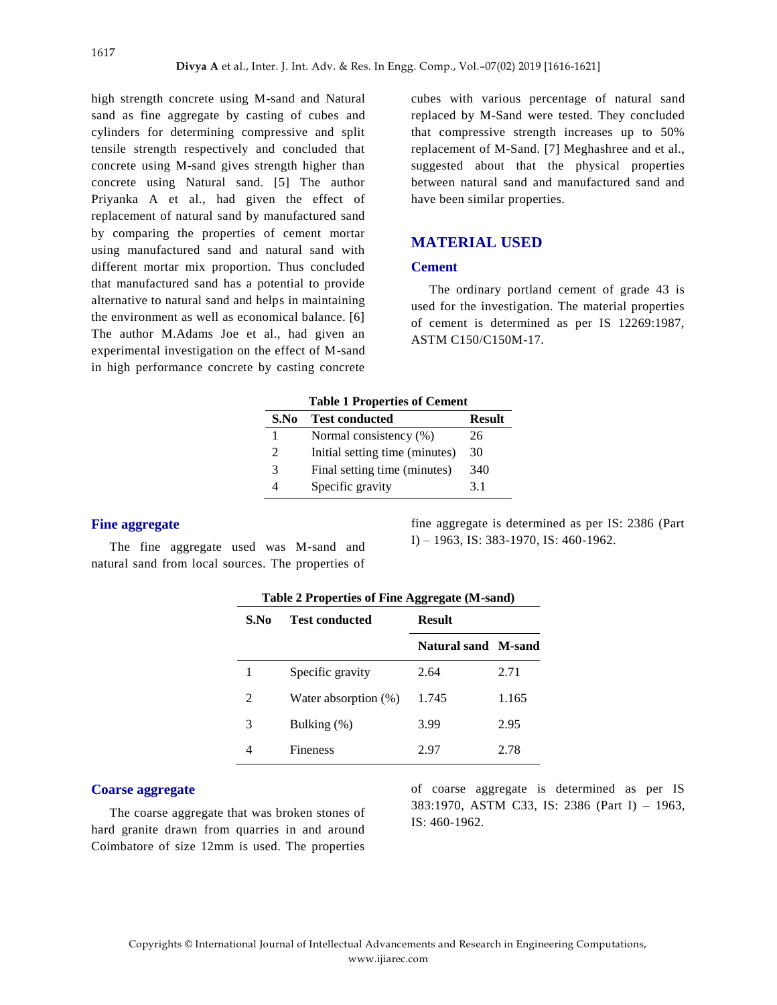high strength concrete using M-sand and Natural sand as fine aggregate by casting of cubes and cylinders for determining compressive and split tensile strength respectively and concluded that concrete using M-sand gives strength higher than concrete using Natural sand. [5] The author Priyanka A et al., had given the effect of replacement of natural sand by manufactured sand by comparing the properties of cement mortar using manufactured sand and natural sand with different mortar mix proportion. Thus concluded that manufactured sand has a potential to provide alternative to natural sand and helps in maintaining the environment as well as economical balance. [6] The author M.Adams Joe et al., had given an experimental investigation on the effect of M-sand in high performance concrete by casting concrete

cubes with various percentage of natural sand replaced by M-Sand were tested. They concluded that compressive strength increases up to 50% replacement of M-Sand. [7] Meghashree and et al., suggested about that the physical properties between natural sand and manufactured sand and have been similar properties.

#### **MATERIAL USED**

#### **Cement**

The ordinary portland cement of grade 43 is used for the investigation. The material properties of cement is determined as per IS 12269:1987, ASTM C150/C150M-17.

| <b>Table 1 Properties of Cement</b> |                                |               |
|-------------------------------------|--------------------------------|---------------|
| <b>Test conducted</b><br>S.No       |                                | <b>Result</b> |
|                                     | Normal consistency (%)         | 26            |
| $\mathfrak{D}$                      | Initial setting time (minutes) | 30            |
| 3                                   | Final setting time (minutes)   | 340           |
|                                     | Specific gravity               | 31            |

# **Fine aggregate**

The fine aggregate used was M-sand and natural sand from local sources. The properties of

fine aggregate is determined as per IS: 2386 (Part I) – 1963, IS: 383-1970, IS: 460-1962.

| Table 2 Properties of Fine Aggregate (M-sand) |                         |                            |       |
|-----------------------------------------------|-------------------------|----------------------------|-------|
| S.No                                          | <b>Test conducted</b>   | <b>Result</b>              |       |
|                                               |                         | <b>Natural sand M-sand</b> |       |
| 1                                             | Specific gravity        | 2.64                       | 2.71  |
| $\mathcal{D}_{\mathcal{L}}$                   | Water absorption $(\%)$ | 1.745                      | 1.165 |
| 3                                             | Bulking (%)             | 3.99                       | 2.95  |
|                                               | <b>Fineness</b>         | 2.97                       | 2.78  |

#### **Coarse aggregate**

The coarse aggregate that was broken stones of hard granite drawn from quarries in and around Coimbatore of size 12mm is used. The properties

of coarse aggregate is determined as per IS 383:1970, ASTM C33, IS: 2386 (Part I) – 1963, IS: 460-1962.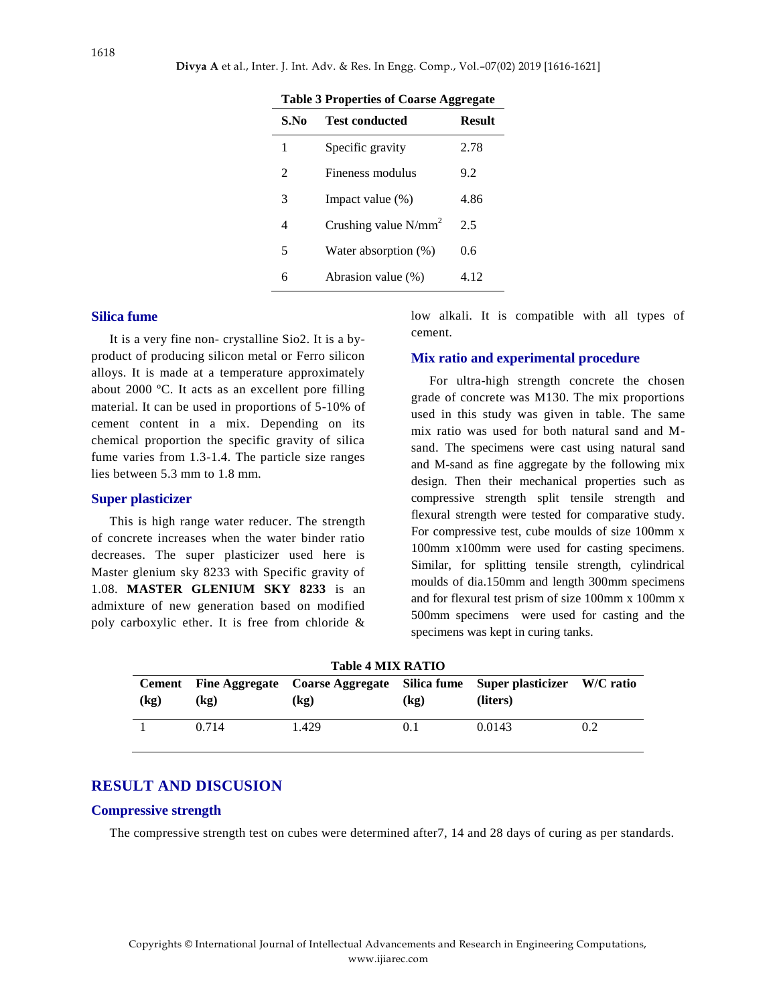|                |                         | œ<br>o        |
|----------------|-------------------------|---------------|
| S.No           | <b>Test conducted</b>   | <b>Result</b> |
| 1              | Specific gravity        | 2.78          |
| $\mathfrak{D}$ | Fineness modulus        | 9.2           |
| 3              | Impact value $(\%)$     | 4.86          |
| 4              | Crushing value $N/mm^2$ | 2.5           |
| 5              | Water absorption (%)    | 0.6           |
| 6              | Abrasion value (%)      | 4.12          |
|                |                         |               |

**Table 3 Properties of Coarse Aggregate**

#### **Silica fume**

It is a very fine non- crystalline Sio2. It is a byproduct of producing silicon metal or Ferro silicon alloys. It is made at a temperature approximately about 2000 ºC. It acts as an excellent pore filling material. It can be used in proportions of 5-10% of cement content in a mix. Depending on its chemical proportion the specific gravity of silica fume varies from 1.3-1.4. The particle size ranges lies between 5.3 mm to 1.8 mm.

#### **Super plasticizer**

This is high range water reducer. The strength of concrete increases when the water binder ratio decreases. The super plasticizer used here is Master glenium sky 8233 with Specific gravity of 1.08. **MASTER GLENIUM SKY 8233** is an admixture of new generation based on modified poly carboxylic ether. It is free from chloride &

low alkali. It is compatible with all types of cement.

#### **Mix ratio and experimental procedure**

For ultra-high strength concrete the chosen grade of concrete was M130. The mix proportions used in this study was given in table. The same mix ratio was used for both natural sand and Msand. The specimens were cast using natural sand and M-sand as fine aggregate by the following mix design. Then their mechanical properties such as compressive strength split tensile strength and flexural strength were tested for comparative study. For compressive test, cube moulds of size 100mm x 100mm x100mm were used for casting specimens. Similar, for splitting tensile strength, cylindrical moulds of dia.150mm and length 300mm specimens and for flexural test prism of size 100mm x 100mm x 500mm specimens were used for casting and the specimens was kept in curing tanks.

**Table 4 MIX RATIO**

| (kg) | $\left(\mathbf{kg}\right)$ | Cement Fine Aggregate Coarse Aggregate Silica fume Super plasticizer W/C ratio<br>(kg) | (kg) | (liters) |     |
|------|----------------------------|----------------------------------------------------------------------------------------|------|----------|-----|
|      | 0.714                      | 1.429                                                                                  | 0.1  | 0.0143   | 0.2 |

#### **RESULT AND DISCUSION**

#### **Compressive strength**

The compressive strength test on cubes were determined after7, 14 and 28 days of curing as per standards.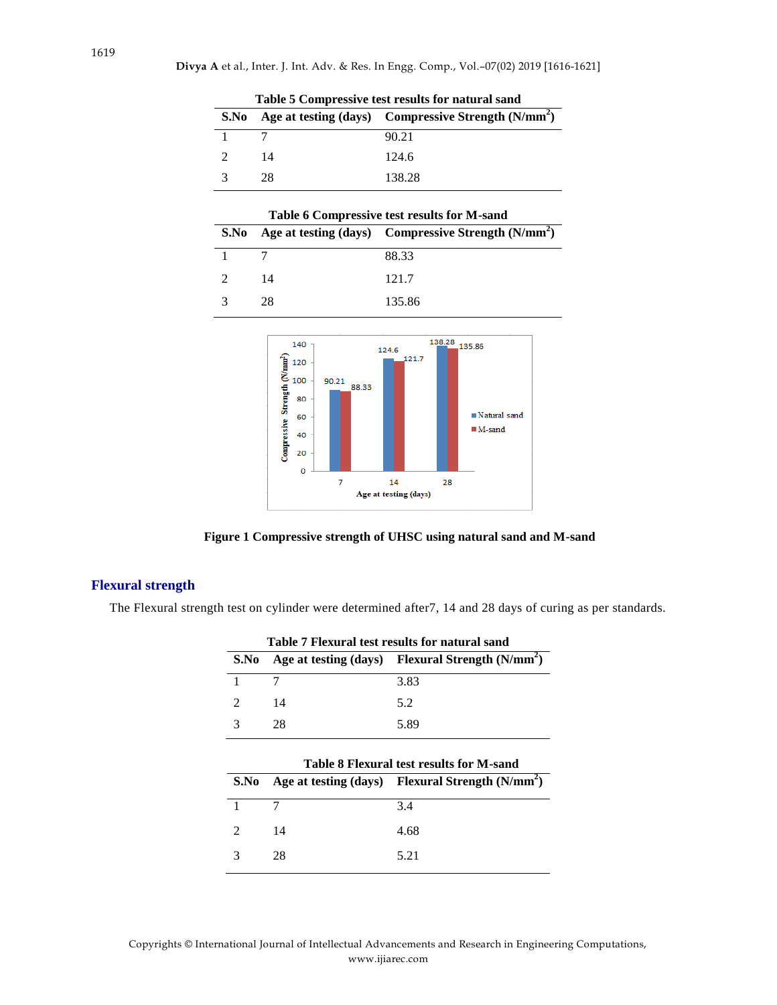| Table 5 Compressive test results for natural sand |    |                                                                      |  |
|---------------------------------------------------|----|----------------------------------------------------------------------|--|
|                                                   |    | S.No Age at testing (days) Compressive Strength (N/mm <sup>2</sup> ) |  |
|                                                   |    | 90.21                                                                |  |
|                                                   | 14 | 124.6                                                                |  |
|                                                   | 28 | 138.28                                                               |  |

| S.No                        |     | Table 6 Compressive test results for M-sand<br>Age at testing $(days)$ Compressive Strength $(N/mm2)$ |
|-----------------------------|-----|-------------------------------------------------------------------------------------------------------|
|                             |     | 88.33                                                                                                 |
| $\mathcal{D}_{\mathcal{A}}$ | 14  | 121.7                                                                                                 |
| 3                           | 28  | 135.86                                                                                                |
|                             | 140 | 138.28<br>135.86<br>124.6<br>121.7                                                                    |



**Figure 1 Compressive strength of UHSC using natural sand and M-sand**

#### **Flexural strength**

The Flexural strength test on cylinder were determined after7, 14 and 28 days of curing as per standards.

| Table 7 Flexural test results for natural sand |    |                                                   |  |
|------------------------------------------------|----|---------------------------------------------------|--|
| S.No                                           |    | Age at testing (days) Flexural Strength $(N/mm2)$ |  |
|                                                |    | 3.83                                              |  |
|                                                | 14 | 5.2                                               |  |
|                                                | 28 | 5.89                                              |  |

|      | <b>Table 8 Flexural test results for M-sand</b> |                                                     |  |
|------|-------------------------------------------------|-----------------------------------------------------|--|
| S.No |                                                 | Age at testing $(days)$ Flexural Strength $(N/mm2)$ |  |
|      |                                                 | 3.4                                                 |  |
|      | 14                                              | 4.68                                                |  |
|      | 28                                              | 5.21                                                |  |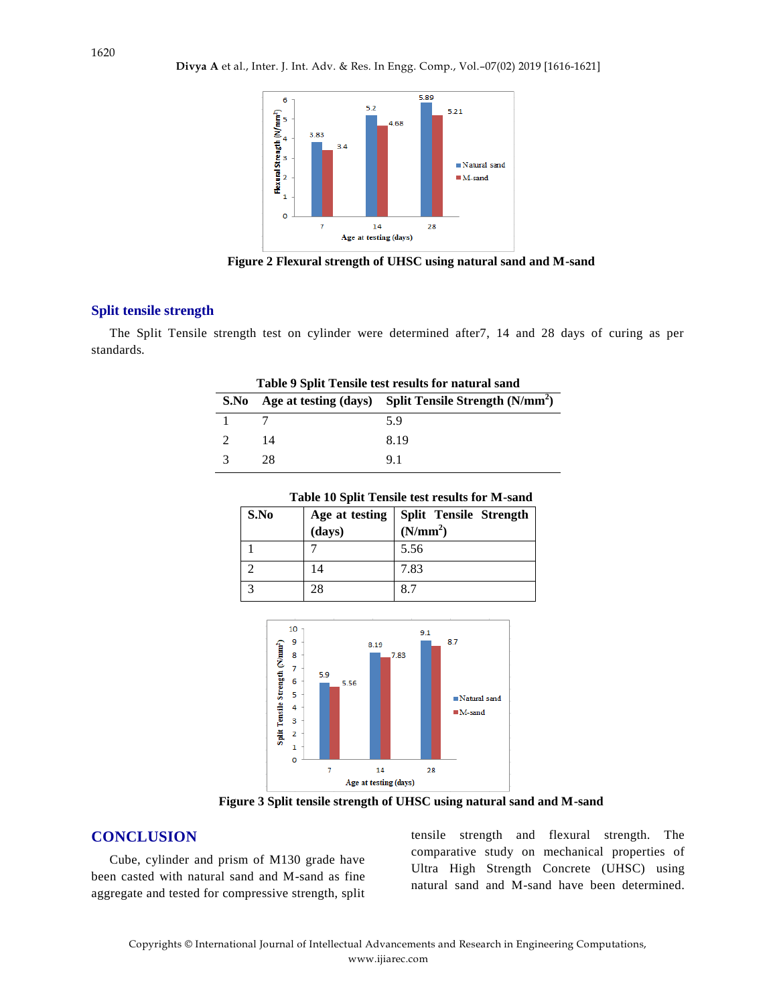

**Figure 2 Flexural strength of UHSC using natural sand and M-sand**

#### **Split tensile strength**

The Split Tensile strength test on cylinder were determined after7, 14 and 28 days of curing as per standards.

**Table 9 Split Tensile test results for natural sand**

| Table 9 Split Tensile test results for natural sand |    |                                                          |
|-----------------------------------------------------|----|----------------------------------------------------------|
| S.No                                                |    | Age at testing $(days)$ Split Tensile Strength $(N/mm2)$ |
|                                                     |    | 5.9                                                      |
|                                                     | 14 | 8.19                                                     |
|                                                     | 28 | 91                                                       |

| Table 10 Split Tensile test results for M-sand |                          |                                                       |  |
|------------------------------------------------|--------------------------|-------------------------------------------------------|--|
| S.No                                           | Age at testing<br>(days) | <b>Split Tensile Strength</b><br>(N/mm <sup>2</sup> ) |  |
|                                                |                          | 5.56                                                  |  |
|                                                | 14                       | 7.83                                                  |  |

3 28 8.7

 $10$  $9.1$  $\overline{9}$  $8.7$ 8.19 Split Tensile Strength (N/mm<sup>2</sup>)  $\overline{\mathbf{8}}$ 1,83  $\overline{7}$  $5.9$  $\overline{6}$ 5.56  $\overline{\mathbf{5}}$ Natural sand  $\overline{4}$  $M$ -sand  $\overline{\mathbf{3}}$  $\overline{\mathbf{2}}$  $\overline{1}$  $\overline{0}$  $\overline{7}$  $\bf{14}$ 28 Age at testing (days)

**Figure 3 Split tensile strength of UHSC using natural sand and M-sand**

#### **CONCLUSION**

Cube, cylinder and prism of M130 grade have been casted with natural sand and M-sand as fine aggregate and tested for compressive strength, split tensile strength and flexural strength. The comparative study on mechanical properties of Ultra High Strength Concrete (UHSC) using natural sand and M-sand have been determined.